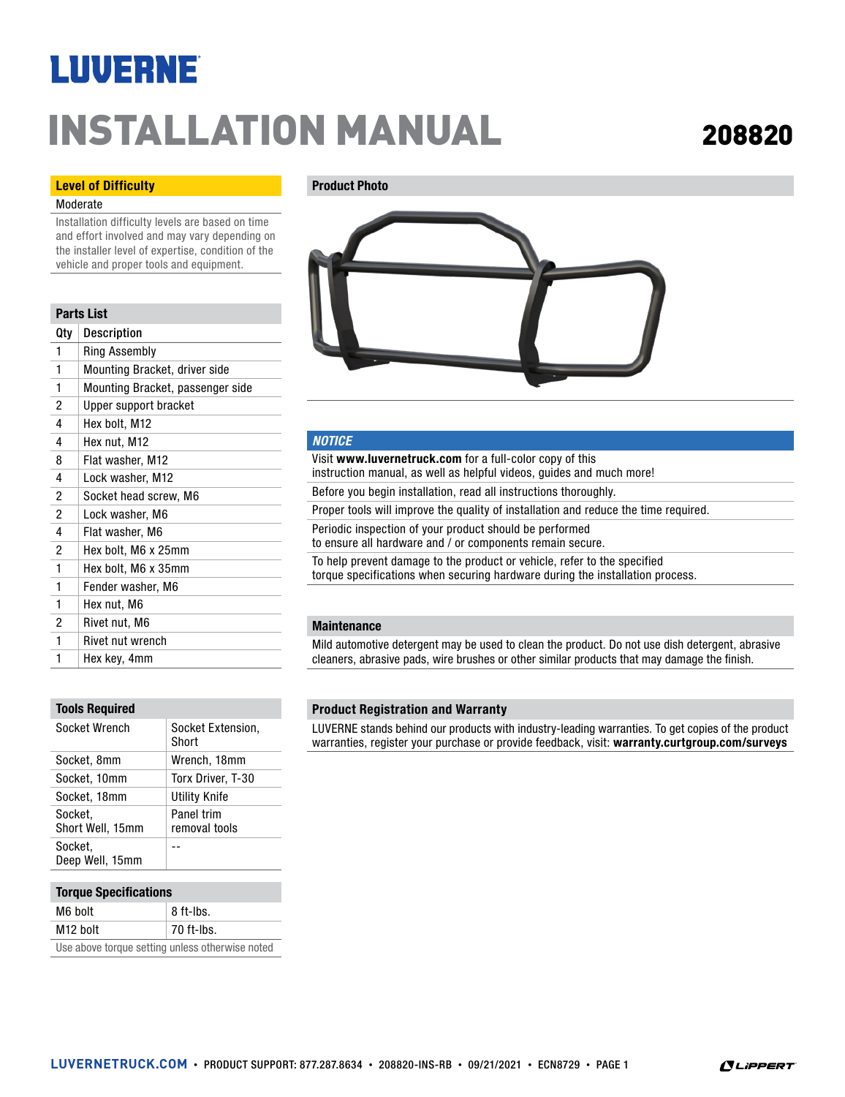## **LUVERNE**

# INSTALLATION MANUAL <sup>208820</sup>

#### Level of Difficulty

#### Moderate

Installation difficulty levels are based on time and effort involved and may vary depending on the installer level of expertise, condition of the vehicle and proper tools and equipment.

#### Parts List

| Qtv | Description                      |
|-----|----------------------------------|
| 1   | Ring Assembly                    |
| 1   | Mounting Bracket, driver side    |
| 1   | Mounting Bracket, passenger side |
| 2   | Upper support bracket            |
| 4   | Hex bolt, M12                    |
| 4   | Hex nut, M12                     |
| 8   | Flat washer, M12                 |
| 4   | Lock washer, M12                 |
| 2   | Socket head screw, M6            |
| 2   | Lock washer, M6                  |
| 4   | Flat washer, M6                  |
| 2   | Hex bolt, M6 x 25mm              |
| 1   | Hex bolt, M6 x 35mm              |
| 1   | Fender washer, M6                |
| 1   | Hex nut, M6                      |
| 2   | Rivet nut, M6                    |
| 1   | <b>Rivet nut wrench</b>          |
| 1   | Hex key, 4mm                     |

#### Tools Required

| Socket Wrench               | Socket Extension,<br>Short  |
|-----------------------------|-----------------------------|
| Socket, 8mm                 | Wrench, 18mm                |
| Socket, 10mm                | Torx Driver, T-30           |
| Socket, 18mm                | Utility Knife               |
| Socket.<br>Short Well, 15mm | Panel trim<br>removal tools |
| Socket,<br>Deep Well, 15mm  |                             |

#### Torque Specifications

| M6 bolt                                         | 8 ft-lbs.    |  |
|-------------------------------------------------|--------------|--|
| M <sub>12</sub> bolt                            | $70$ ft-lbs. |  |
| Use above torque setting unless otherwise noted |              |  |

#### Product Photo



#### *NOTICE*

Visit www.luvernetruck.com for a full-color copy of this instruction manual, as well as helpful videos, guides and much more! Before you begin installation, read all instructions thoroughly. Proper tools will improve the quality of installation and reduce the time required. Periodic inspection of your product should be performed to ensure all hardware and / or components remain secure. To help prevent damage to the product or vehicle, refer to the specified torque specifications when securing hardware during the installation process.

#### **Maintenance**

Mild automotive detergent may be used to clean the product. Do not use dish detergent, abrasive cleaners, abrasive pads, wire brushes or other similar products that may damage the finish.

#### Product Registration and Warranty

LUVERNE stands behind our products with industry-leading warranties. To get copies of the product warranties, register your purchase or provide feedback, visit: warranty.curtgroup.com/surveys

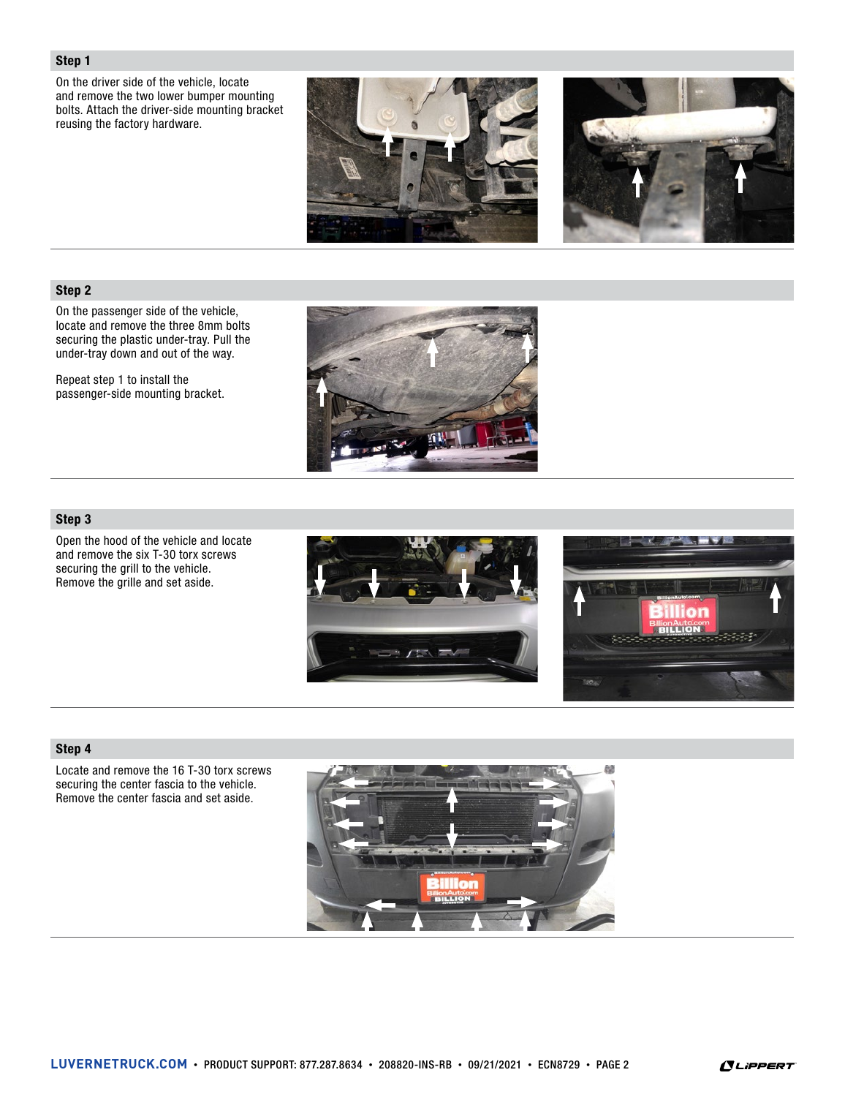#### Step 1

On the driver side of the vehicle, locate and remove the two lower bumper mounting bolts. Attach the driver-side mounting bracket reusing the factory hardware.





### Step 2

On the passenger side of the vehicle, locate and remove the three 8mm bolts securing the plastic under-tray. Pull the under-tray down and out of the way.

Repeat step 1 to install the passenger-side mounting bracket.



### Step 3

Open the hood of the vehicle and locate and remove the six T-30 torx screws securing the grill to the vehicle. Remove the grille and set aside.





#### Step 4

Locate and remove the 16 T-30 torx screws securing the center fascia to the vehicle. Remove the center fascia and set aside.



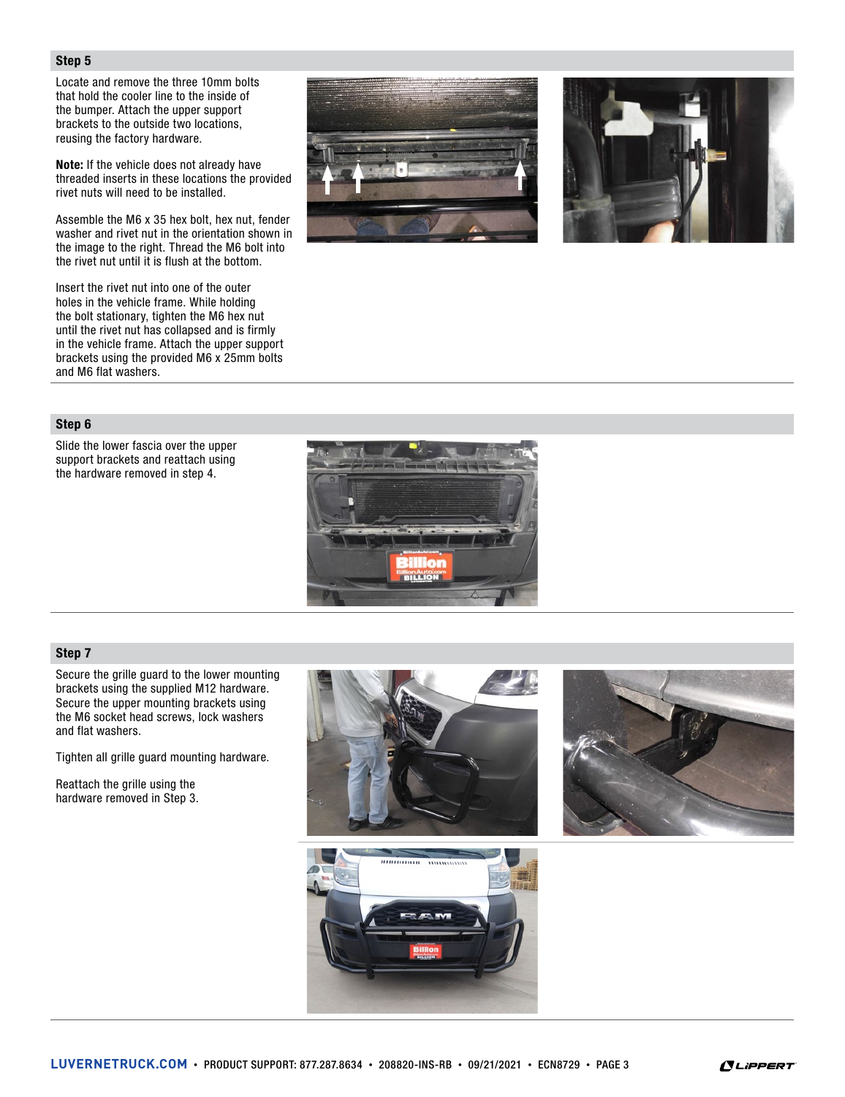#### Step 5

Locate and remove the three 10mm bolts that hold the cooler line to the inside of the bumper. Attach the upper support brackets to the outside two locations, reusing the factory hardware.

Note: If the vehicle does not already have threaded inserts in these locations the provided rivet nuts will need to be installed.

Assemble the M6 x 35 hex bolt, hex nut, fender washer and rivet nut in the orientation shown in the image to the right. Thread the M6 bolt into the rivet nut until it is flush at the bottom.

Insert the rivet nut into one of the outer holes in the vehicle frame. While holding the bolt stationary, tighten the M6 hex nut until the rivet nut has collapsed and is firmly in the vehicle frame. Attach the upper support brackets using the provided M6 x 25mm bolts and M6 flat washers.





#### Step 6

Slide the lower fascia over the upper support brackets and reattach using the hardware removed in step 4.



#### Step 7

Secure the grille guard to the lower mounting brackets using the supplied M12 hardware. Secure the upper mounting brackets using the M6 socket head screws, lock washers and flat washers.

Tighten all grille guard mounting hardware.

Reattach the grille using the hardware removed in Step 3.